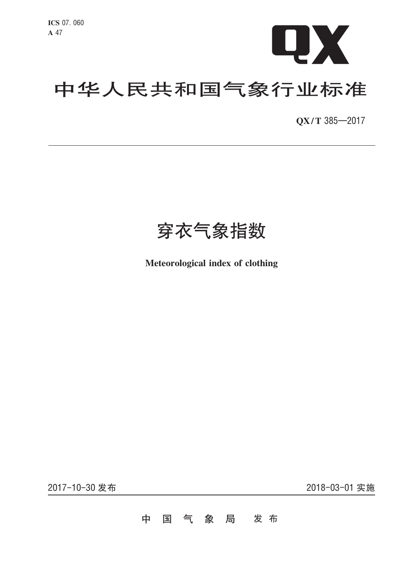

# 中华人民共和国气象行业标准

QX/T 385-2017

穿衣气象指数

Meteorological index of clothing

2017-10-30 发布

2018-03-01 实施

#### 国气象局 发布 中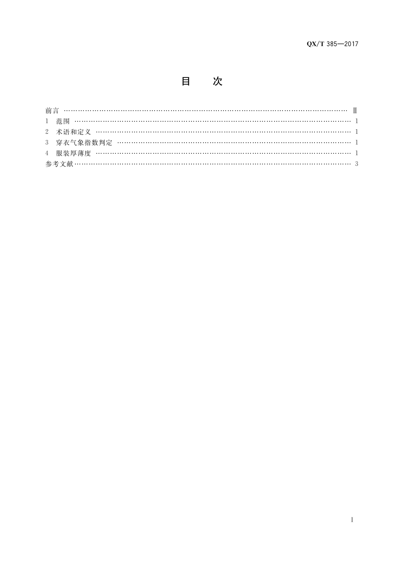目 次

| 3 穿衣气象指数判定 …………………………………………………………………………………… 1 |  |
|-----------------------------------------------|--|
|                                               |  |
|                                               |  |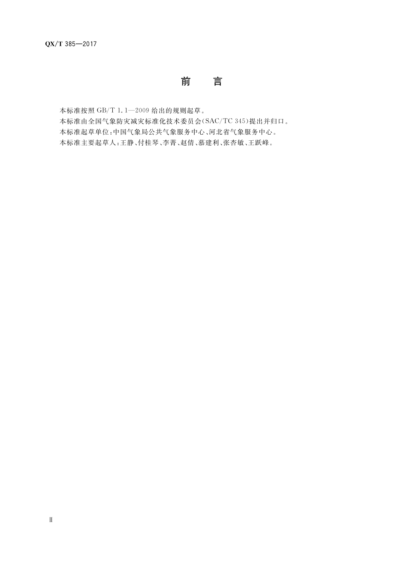## 前 言

本标准按照 GB/T 1.1-2009 给出的规则起草。 本标准由全国气象防灾减灾标准化技术委员会(SAC/TC 345)提出并归口。 本标准起草单位:中国气象局公共气象服务中心、河北省气象服务中心。 本标准主要起草人:王静、付桂琴、李菁、赵倩、慕建利、张杏敏、王跃峰。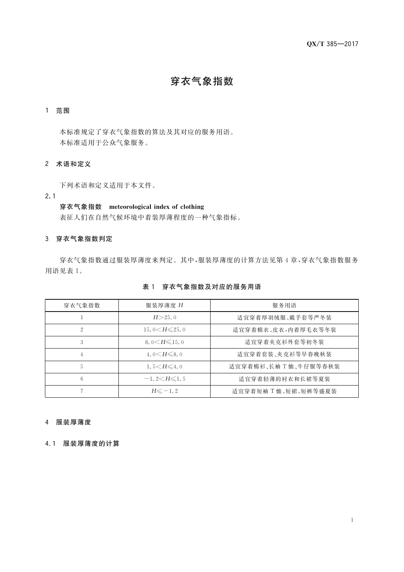## 穿衣气象指数

#### 1 范围

本标准规定了穿衣气象指数的算法及其对应的服务用语。 本标准适用于公众气象服务。

### 2 术语和定义

下列术语和定义适用于本文件。

 $2.1$ 

### 穿衣气象指数 meteorological index of clothing

表征人们在自然气候环境中着装厚薄程度的一种气象指标。

#### 3 穿衣气象指数判定

穿衣气象指数通过服装厚薄度来判定。其中,服装厚薄度的计算方法见第4章,穿衣气象指数服务 用语见表 1。

| 穿衣气象指数 | 服装厚薄度 H                | 服务用语                  |
|--------|------------------------|-----------------------|
|        | H > 25.0               | 适宜穿着厚羽绒服、戴手套等严冬装      |
| 2      | 15.0 $\lt H \leq 25.0$ | 适宜穿着棉衣、皮衣,内着厚毛衣等冬装    |
| 3      | 8.0 $\leq H \leq 15.0$ | 适宜穿着夹克衫外套等初冬装         |
| 4      | 4.0 $\leq H \leq 8.0$  | 适宜穿着套装、夹克衫等早春晚秋装      |
| 5      | 1.5 $\leq H \leq 4.0$  | 适宜穿着棉衫、长袖 T 恤、牛仔服等春秋装 |
| 6      | $-1, 2 < H \le 1, 5$   | 适宜穿着轻薄的衬衣和长裙等夏装       |
|        | $H \leq -1.2$          | 适宜穿着短袖 T恤、短裙、短裤等盛夏装   |

#### 表 1 穿衣气象指数及对应的服务用语

#### 4 服装厚薄度

4.1 服装厚薄度的计算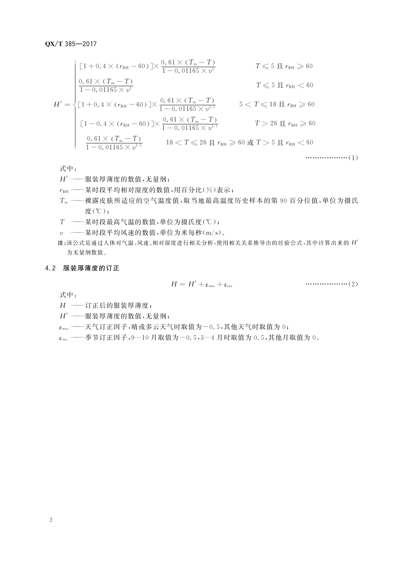$$
H' = \begin{cases} \n\begin{aligned}\n& [1+0.4 \times (r_{\text{RH}} - 60)] \times \frac{0.61 \times (T_{\text{m}} - T)}{1 - 0.01165 \times v^2} & T \leq 5 \text{ H } r_{\text{RH}} \geq 60 \\
& \frac{0.61 \times (T_{\text{m}} - T)}{1 - 0.01165 \times v^2} & T \leq 5 \text{ H } r_{\text{RH}} < 60 \\
& \begin{aligned}\n& [1+0.4 \times (r_{\text{RH}} - 60)] \times \frac{0.61 \times (T_{\text{m}} - T)}{1 - 0.01165 \times v^{1.5}} & 5 < T \leq 18 \text{ H } r_{\text{RH}} \geq 60 \\
& \frac{0.61 \times (r_{\text{RH}} - 60)}{1 - 0.01165 \times v^{1.5}} & 18 < T \leq 26 \text{ H } r_{\text{RH}} \geq 60 \text{ H } r_{\text{RH}} \geq 60 \\
& \frac{0.61 \times (T_{\text{m}} - T)}{1 - 0.01165 \times v^{1.5}} & 18 < T \leq 26 \text{ H } r_{\text{RH}} \geq 60 \text{ H } T > 5 \text{ H } r_{\text{RH}} < 60 \\
& \text{...} & \text{...} & \text{...} & \text{...} & \text{...} & \text{...} & \text{...} & \text{...} & \text{...} & \text{...} & \text{...} & \text{...} & \text{...} & \text{...} & \text{...} & \text{...} & \text{...} & \text{...} & \text{...} & \text{...} & \text{...} & \text{...} & \text{...} & \text{...} & \text{...} & \text{...} & \text{...} & \text{...} & \text{...} & \text{...} & \text{...} & \text{...} & \text{...} & \text{...} & \text{...}
$$

式中:

- $H'$  ------服装厚薄度的数值,无量纲;
- $r_{\text{RH}}$  ---某时段平均相对湿度的数值,用百分比(%)表示;
- Tm -- 裸露皮肤所适应的空气温度值,取当地最高温度历史样本的第90百分位值,单位为摄氏 度(℃);
- $T$  --基时段最高气温的数值,单位为摄氏度(℃);
- v ---某时段平均风速的数值,单位为米每秒(m/s)。
- 注:该公式是通过人体对气温、风速、相对湿度进行相关分析,使用相关关系推导出的经验公式,其中计算出来的 H' 为无量纲数值。

#### 4.2 服装厚薄度的订正

式中:

- $H$  --- 订正后的服装厚薄度;
- $H'$  ——服装厚薄度的数值,无量纲;
- $\varepsilon_{\text{wea}}$  ——天气订正因子,晴或多云天气时取值为一0.5,其他天气时取值为0;
- $\varepsilon_{sea}$  ----季节订正因子,9-10月取值为-0.5,3-4月时取值为0.5,其他月取值为0。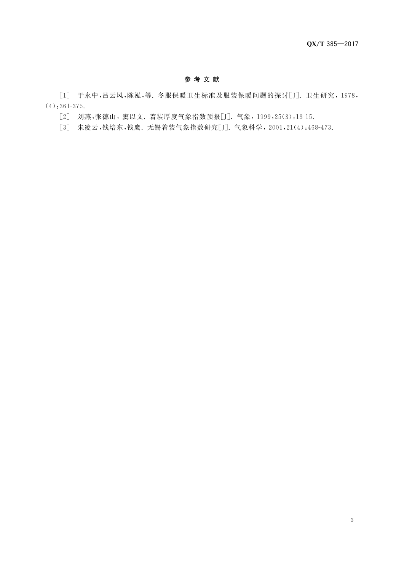#### 参考文献

[1] 于永中,吕云风,陈泓,等. 冬服保暖卫生标准及服装保暖问题的探讨[J]. 卫生研究, 1978,  $(4); 361-375.$ 

[2] 刘燕,张德山, 窦以文. 着装厚度气象指数预报[J]. 气象, 1999, 25(3): 13-15.

[3] 朱凌云,钱培东,钱鹰. 无锡着装气象指数研究[J]. 气象科学, 2001,21(4):468-473.